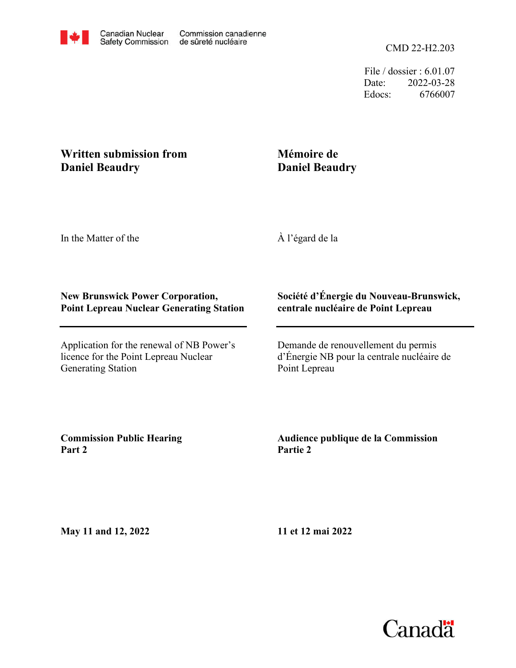File / dossier : 6.01.07 Date: 2022-03-28 Edocs: 6766007

# **Written submission from Daniel Beaudry**

# **Mémoire de Daniel Beaudry**

In the Matter of the

À l'égard de la

## **New Brunswick Power Corporation, Point Lepreau Nuclear Generating Station**

Application for the renewal of NB Power's licence for the Point Lepreau Nuclear Generating Station

### **Société d'Énergie du Nouveau-Brunswick, centrale nucléaire de Point Lepreau**

Demande de renouvellement du permis d'Énergie NB pour la centrale nucléaire de Point Lepreau

**Commission Public Hearing Part 2**

### **Audience publique de la Commission Partie 2**

**May 11 and 12, 2022**

**11 et 12 mai 2022**